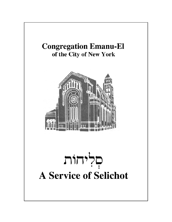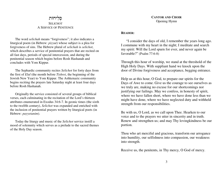## פְלִיחוֹת SELICHOTA SERVICE OF PENITENCE

The word *selichah* means "forgiveness"; it also indicates a liturgical poem (in Hebrew: *piyyut*) whose subject is a plea for forgiveness of sins. The Hebrew plural of *selichah* is *selichot*, which describes a service of penitential prayers that are recited onall fast days, periods of special intercession, and during the penitential season which begins before Rosh Hashanah andconcludes with Yom Kippur.

The Sephardic community recites *Selichot* for forty days fromthe first of *Elul* (the month before *Tishrei*, the beginning of the Jewish New Year) to Yom Kippur. The Ashkenazic community begins reciting the prayers late Saturday night at least four daysbefore Rosh Hashanah.

Originally the service consisted of several groups of biblical verses, each culminating in the recitation of the Lord's thirteen attributes enumerated in Exodus 34:6-7. In geonic times (the sixth to the twelfth century), *Selichot* was expanded and enriched with the inclusion of penitential prayers written by liturgical poets (inHebrew: *payyetanim*).

Today the liturgy and music of the *Selichot* service instill a mood of solemnity which serves as a prelude to the sacred themesof the Holy Day season.

**CANTOR AND CHOIR** Opening Hymn

#### **READER:**

"I consider the days of old, I remember the years long ago.I commune with my heart in the night; I meditate and searchmy spirit: Will the Lord spurn for ever, and never again befavorable?" (Psalm 77:6-8)

Through this hour of worship, we stand at the threshold of theHigh Holy Days. With suppliant hand we knock upon thedoor of Divine forgiveness and acceptance, begging entrance.

Help us at this hour, O God, to prepare our spirits for the Days of Awe to come. Give us the courage to see ourselves aswe truly are, making no excuse for our shortcomings nor justifying our failings. May we confess, in honesty of spirit, where we have fallen short, where we have done less than we might have done, where we have neglected duty and withheldstrength from our responsibilities.

Be with us, O Lord, as we call upon Thee. Hearken to our voice and to the prayers we utter in sincerity and in truth. Renew and strengthen us; and may Thy lovingkindness be ourportion.

Thou who art merciful and gracious, transform our arrogance into humility, our selfishness into compassion, our weaknessinto strength.

Receive us, the penitents, in Thy mercy, O God of mercy.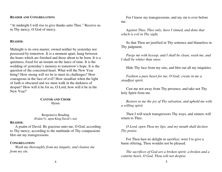## **READER AND CONGREGATION:**

"At midnight I will rise to give thanks unto Thee." Receive usin Thy mercy, O God of mercy.

#### **READER:**

Midnight is its own master, owned neither by yesterday nor possessed by tomorrow. It is a moment apart, hung between the hours which are finished and those about to be born. It is aquietness, fixed for an instant on the lance of time. It is the wedding of yesterday's memory to tomorrow's hope. It is thequestion of the concerned heart. What will the New Year bring? How strong will we be to meet its challenges? How courageous in the face of evil? How steadfast when the lightof faith is obscured and we must walk in the darkness of despair? How will it be for us, O Lord, how will it be in theNew Year?

> **CANTOR AND CHOIR** Hymn

Responsive Reading(Psalm 51, upon King David's sin)

#### **READER:**

 A psalm of David. Be gracious unto me, O God, according to Thy mercy; according to the multitude of Thy compassionsblot out my transgressions.

### **CONGREGATION:**

 *Wash me thoroughly from my iniquity, and cleanse mefrom my sin.*

For I know my transgressions, and my sin is ever beforeme.

*Against Thee, Thee only, have I sinned, and done thatwhich is evil in Thy sight,* 

So that Thou art justified in Thy sentence and blameless inThy judgment.

*Purge me with hyssop, and I shall be clean; wash me, andI shall be whiter than snow.*

Hide Thy face from my sins, and blot out all my iniquities.

*Fashion a pure heart for me, O God; create in me asteadfast spirit.*

Cast me not away from Thy presence, and take not Thyholy Spirit from me.

*Restore to me the joy of Thy salvation, and uphold me witha willing spirit.*

Then I will teach transgressors Thy ways, and sinners willreturn to Thee.

*O Lord, open Thou my lips; and my mouth shall declareThy praise.*

For Thou hast no delight in sacrifice; were I to give aburnt offering, Thou wouldst not be pleased.

*The sacrifices of God are a broken spirit; a broken and acontrite heart, O God, Thou wilt not despise.*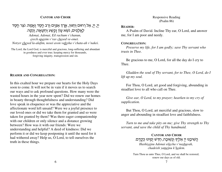## **CANTOR AND CHOIR**

יִי, יִי, אֵל רַחוּם וְחַנּוּן, אֶרֶךְ אַפְּיִם וְרַב חֶסֶד וֶאֱמֶת. נֹצֵר חֶסֶד לְאֲלָפִים, נֹשֵׂא עָ<mark>וֹן וָ</mark>מֶּשַׁע וְחַטָּאָה, וְנַקֵּה.

*Adonai, Adonai, Eil rachum v'chanun, erech apayim v'rav chesed ve-emet. Notzer chesed la-alafim, nosei avon vafesha v'chata-ah v'nakei.*

The Lord, the Lord God, is merciful and gracious, long-suffering and abundantin goodness and ever true; keeping mercy for thousands, forgiving iniquity, transgression and sin.

## **READER AND CONGREGATION:**

In this exalted hour we prepare our hearts for the Holy Dayssoon to come. It will not be in vain if it moves us to search our ways and to ask profound questions. How many were the wasted hours in the year now spent? Did we renew our homesin beauty through thoughtfulness and understanding? Didlove speak in eloquence or was the appreciative and the affectionate word left unsaid? Were we a joyful presence to our loved ones or did we take them for granted and so were taken for granted by them? Was there eager companionshipwith our children or only silence and a distance growingbetween? How was it with our friends: Were we understanding and helpful? A deed of kindness: Did we perform it or did we keep postponing it until the need for ithad withered away? Help us, O Lord, to tell ourselves thetruth in these things.

#### **READER:**

 A Psalm of David. Incline Thy ear, O Lord, and answerme, for I am poor and needy.

#### **CONGREGATION:**

 *Preserve my life, for I am godly; save Thy servant whotrusts in Thee.* 

Be gracious to me, O Lord, for all the day do I cry toThee.

*Gladden the soul of Thy servant, for to Thee, O Lord, do Ilift up my soul.*

For Thou, O Lord, art good and forgiving, abounding insteadfast love to all who call on Thee.

*Give ear, O Lord, to my prayer; hearken to my cry ofsupplication.* 

But Thou, O Lord, art merciful and gracious, slow toanger and abounding in steadfast love and faithfulness.

*Turn to me and take pity on me; give Thy strength to Thyservant, and save the child of Thy handmaid.* 

> **CANTOR AND CHOIR** הַשִּׁיבֵנוּ יְיָ אֵלֶיֶךְ וְנָשְׁוּבָה, חַדֵּשׁ יָמֵינוּ כְּקֶדֶם. *Hashiveinu Adonai eilecha v'nashuvah, chadeish yameinu k'kedem.*

Turn Thou us unto Thee, O Lord, and we shall be restored; renew our days as of old.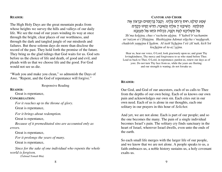#### **READER:**

The High Holy Days are the great mountain peaks from whose heights we survey the hills and valleys of our daily life. We see the road of our years winding its way at oncethrough the bright, clear places of our worthiness, and through the dark and tangled jungle of our misdeeds and failures. But these solemn days do more than disclose the record of the past. They hold forth the promise of the future. They bring us the glad tidings that God waits for us. God setsbefore us the choice of life and death, of good and evil, andpleads with us that we choose life and the good. For Godwould not see us die.

"Wash you and make you clean," so admonish the Days ofAwe. "Repent, and the God of repentance will forgive."

Responsive Reading

#### **READER:**

Great is repentance,

### **CONGREGATION:**

*For it reaches up to the throne of glory.*Great is repentance,

*For it brings about redemption.*

Great is repentance,

*Because of it premeditated sins are accounted only aserrors.*

Great is repentance,

*For it prolongs the years of many.*

Great is repentance,

*Since for the sake of one individual who repents the wholeworld is forgiven.*(*Talmud Yomah* 86a)

## **CANTOR AND CHOIR** ּשְׁמַע קוֹלִנְוּ, חוּס וְרַחֵם עָלִינוּ. וְקַבֵּל בְּרַחֲמִים וּבְרָצוֹן אֶת ּתְּפִלָּתֵֽנוּ. הֲשִׁיבֵֽנוּ יְיָ אֵלֶיְךָ וְנָשְׁוּבָה, חַדֵּשׁ יָמֵינוּ כְּקֶדֶם. אַל תַּשְׁלִיכְנוּ לְעֵת זִקְנָה, כִּכְלוֹת כֹּחֵנוּ אַל תַּעַזְבֵנוּ.

 *Sh'ma koleinu, chus v'racheim aleinu. V'kabeil b'rachamim uv'ratzon et t'filateinu. Hashiveinu Adonai eilecha v'nashuvah,chadeish yameinu k'kedem. Al tash'licheinu l'eit zik'nah, kich'lotkocheinu al ta-az'veinu.*

Hear us, hear our voice, O Lord, look graciously upon us; and grant Thy lovingkindness, Thy mercy and forgiveness to us who stand before Thee. Lead us back to Thee, O Lord, in repentance; pardon us, renew our days as ofyore. Do not turn Thy face from us, while the years are fleeting and our strength is waning; do not forsake us.

#### **READER:**

Our God, and God of our ancestors, each of us calls to Thee from the depths of our own being. Each of us knows our ownpain and acknowledges our own sin. Each cries out in ourown need. Each of us is alone in our thoughts, each onesolitary in our prayers in this hour of *Selichot.*

And yet, we are not alone. Each is part of our people; and sothe one becomes the many. The pain of a single individual becomes Israel's pain. The solitary cry finds sanctuary in the heart of Israel, wherever Israel dwells, even unto the ends ofthe earth.

So each small life merges with the larger life of our people, and we know that we are not alone. A people speaks to us, a faith embraces us, a noble history sustains us, a holy covenantexalts us.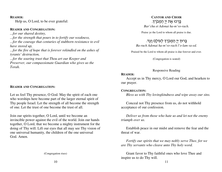### **READER:**

Help us, O Lord, to be ever grateful:

## **READER AND CONGREGATION:**

*...for our shared destiny, ...for the strength that pours in to fortify our weakness, ...for the courage that centuries of stubborn resistance to evilhave stored up, ...for the fire of hope that is forever rekindled on the ashes oftyrants' destruction, ...for the soaring trust that Thou art our Keeper and Preserver, our compassionate Guardian who gives us theTorah.*

# **READER AND CONGREGATION:**

Let us feel Thy presence, O God. May the spirit of each one who worships here become part of the larger eternal spirit of Thy people Israel. Let the strength of all become the strengthof one. Let the trust of one become the trust of all.

Join our spirits together, O Lord, until we become an invincible power against the evil of the world. Join our hands together, O Lord, that we become a mighty instrument for the doing of Thy will. Lift our eyes that all may see Thy vision ofone universal humanity, the children of the one universalGod. Amen.

(Congregation rises)

### **CANTOR AND CHOIR** בָּרְכוּ אֶת יְיָ הַמְבֹרָךָ. *Bar'chu et Adonai ha-m'vo-rach.*

Praise ye the Lord to whom all praise is due.

# בָּרוּךְ יְיָ הַמְבֹרָךְ לְעוֹלָם וָעֶד.

*Ba-ruch Adonai ha-m'vo-rach l'o-lam va-ed.*

Praised be the Lord to whom all praise is due forever and ever.

(Congregation is seated)

### Responsive Reading

### **READER:**

 Accept us in Thy mercy, O Lord our God, and hearken toour prayer.

### **CONGREGATION:**

*Bless us with Thy lovingkindness and wipe away our sins.*

Conceal not Thy presence from us, do not withholdacceptance of our confession.

*Deliver us from those who hate us and let not the enemytriumph over us.*

Establish peace in our midst and remove the fear and thethreat of war.

*Fortify our spirits that we may nobly serve Thee, for weare Thy servants who cleave unto Thy holy word.*

Grant favor to Thy faithful ones who love Thee andinspire us to do Thy will.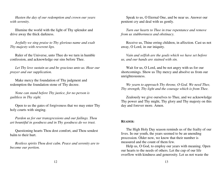*Hasten the day of our redemption and crown our yearswith serenity.*

Illumine the world with the light of Thy splendor anddrive away the thick darkness.

*Joyfully we sing praise to Thy glorious name and exaltThy majesty with reverent lips.*

Ruler of the Universe, unto Thee do we turn in humbleconfession, and acknowledge our sins before Thee.

*Let Thy love sustain us and be gracious unto us. Hear ourprayer and our supplication.*

Make mercy the foundation of Thy judgment andredemption the foundation stone of Thy decree.

*None can stand before Thy justice, for no person isguiltless in Thy sight.*

Open to us the gates of forgiveness that we may enter Thyholy courts with singing.

*Pardon us for our transgressions and our failings. Thouart bountiful in goodness and in Thy goodness do we trust.*

Questioning hearts Thou dost comfort, and Thou sendestbalm to their hurt.

*Restless spirits Thou dost calm. Peace and serenity are tobecome our portion.*

Speak to us, O Eternal One, and be near us. Answer ourpenitent cry and deal with us gently.

*Turn our hearts to Thee in true repentance and removefrom us stubbornness and obstinacy.*

Receive us, Thine erring children, in affection. Cast us notaway, O Lord, in our iniquity.

*Vain and selfish are the goals which we have set beforeus, and our hands are stained with sin.*

Wait for us, O Lord, and be not angry with us for our shortcomings. Show us Thy mercy and absolve us from ourunrighteousness.

*We yearn to approach Thy throne, O God. We need Thee,Thy strength, Thy light and the courage which is from Thee.*

Zealously we give ourselves to Thee, and we acknowledge Thy power and Thy might, Thy glory and Thy majesty on thisday and forever more. Amen.

### **READER:**

The High Holy Day season reminds us of the frailty of ourlives. In our youth, the years seemed to be an unendingprocession. Older now, we know that their number ismeasured and the count of them few.

 Help us, O God, to employ our years with meaning. Openour hearts to the needs of others. Let the cup of our lifeoverflow with kindness and generosity. Let us not waste the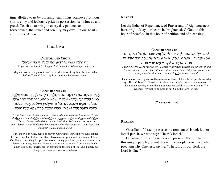time allotted to us by pursuing vain things. Remove from our spirits envy and jealousy, pride in possession, selfishness, andgreed. Teach us to bring to every day patience and forbearance, that quiet and serenity may dwell in our heartsand spirits. Amen.

Silent Prayer

**CANTOR AND CHOIR** יִהְיוּ לְרָצוֹן אִמְרֵי פִי וְהֶגְיוֹן לִבִּי לְפָנֶי<del>ךָ</del>, יְיָ צוּרִי וְגוֹאֲלִי. *Yih'yu l'ratzon imrei fi v'hegyon libi l'fanecha, Adonai tzuri v'go-ali.*

May the words of my mouth and the meditations of my heart be acceptablebefore Thee, O Lord, my Rock and my Redeemer. Amen.

## **CANTOR AND CHOIR**

## אָבְינוּ מַלְכֵּנוּ, שְׁמַע קוֹלִנוּ. אָבְינוּ מַלְכֵּנוּ, חָטֶאנוּ לְפָנֶיךָ. אָבִינוּ מַלְכֵּנוּ, ְחֵמוֹל עָלִיְנוּ וְעַל-עוֹלָלִינוּ וְטַפֵּנוּ. אָבְינוּ מַלְכֵּנוּ, כַּלֵּה דֶּבֶר וְחֶרֶב וְרָעָב ְמֵעָלֵינוּ. אָבִינוּ מַלְכֵּנוּ, כַּלֵּה כָל צַר וּמַשְׂטִין מֵעָלֵינוּ. אָבִינוּ מַלְכֵּנוּ, כָּתְבֵנוּ בְּסֵפֶר חַיִּים טוֹבִים. אָבְינוּ מַלְכֵּנוּ, חַדֵּשׁ עָלִינוּ שָׁנָה טוֹבָה.

*Avinu Malkeinu, sh'ma koleinu. Avinu Malkeinu, chatanu l'fanecha. Avinu Malkeinu, chamol aleinu v'al olaleinu v'tapeinu. Avinu Malkeinu, kalei deverv'cherev v'ra-av mei-a-leinu. Avinu Malkeinu, kalei chol tsar u-mastin mei-a-leinu. Avinu Malkeinu, kotveinu b'seifer chayim tovim. Avinu Malkeinu,chadeish aleinu shanah tovah.*

Our Father, our King, hear our prayer. Our Father, our King, we have sinned before Thee. Our Father, our King, have mercy upon us and upon our children. Our Father, our King, keep far from our country pestilence, war and famine. OurFather, our King, cause all hate and oppression to vanish from the earth. Our Father, our King, inscribe us for blessing in the book of life. Our Father, ourKing, grant unto us a year of goodness.

### **READER:**

Let the lights of Repentance, of Prayer and of Righteousnessburn bright. May our hearts be brightened, O God, in thishour of *Selichot,* in this hour of petition and of cleansing.

## **CANTOR AND CHOIR**

## שומֵר יִשְׂרָאֵל, שְׁמוֹר שְׁאֵרִית יִשְׂרָאֵל, וְאַל יֹאבַד יִשְׂרָאֵל, הָאוֹמְרִים ֿשְׁמַע יִשְׂרָאֵל. שׁוֹמֵר גּוֹי אֶחָד, שְׁמוֹר שְׁאֵרְית עַם אֶחָד, וְאַל יֹאבַד גּוֹי ּאֶחָד, הַמְיַחֲדִים שִׁמְךָ יְיָ אֱלֹהֵינוּ יְיָ אֶחָד.

 *Shomeir Yisra-el, sh'mor sh'eirit Yisrael, v'al yovad Yisrael, ha-om'rim sh'ma Yisrael. Shomeir goi echad, sh'mor sh'eirit am echad, v'al yovad goi echad,ham'yachadim shim'cha Adonai eloheinu Adonai echad.*

Guardian of Israel, preserve the remnant of Israel; let not Israel perish, we who say: "Hear O Israel." Guardian of this unique people, preserve the remnant ofthis unique people; let not this unique people perish, we who proclaim ThyOneness, saying: "The Lord is our God, the Lord is One."

(Congregation rises)

### **READER:**

Guardian of Israel, preserve the remnant of Israel; let notIsrael perish, we who say: "Hear O Israel."

Guardian of this unique people, preserve the remnant of this unique people; let not this unique people perish, we whoproclaim Thy Oneness, saying: "The Lord is our God, theLord is One."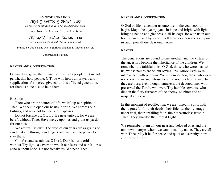# **CANTOR AND CHOIR**

ּשְׁמַע יִשְׂרָאֵל יְיָ אֱלְהֵינוּ יְיָ אֶחֶד.

*Sh'ma Yis-ra-eil: Adonai E-lo-hei-nu, Adonai e-chad.*

Hear, O Israel, the Lord our God, the Lord is one.

# בָרוּךְ שֵׁם כְּבוֹד מַלְכוּתו לְעוֹלָם וָעֶד.<br>.

*Bar-uch sheim k'vod mal-chu-to l'olam va-ed.*

Praised be God's name whose glorious kingdom is forever and ever.

(Congregation is seated)

## **READER AND CONGREGATION:**

O Guardian, guard the remnant of this holy people. Let us notperish, this holy people. O Thou who hears all prayers and supplications for mercy, give ear to this afflicted generation,for there is none else to help them.

### **READER:**

 Thou who art the source of life, we lift up our spirits to Thee. We seek to open our hearts in truth. We confess ourfailings, and seek not to hide our trespasses.

 Do not forsake us, O Lord. Be near unto us, for we are bereft without Thee. Have mercy upon us and grant us pardonfor our sins.

We are frail as dust. The days of our years are as grains ofsand that slip through our fingers and we have no power tostay them.

Comfort and sustain us, O Lord. Dark is our world without Thy light, a cavern in which our fears and our failuresecho without hope. Do not forsake us. We need Thee.

## **READER AND CONGREGATION:**

O God of life, remember us unto life in the year soon to begin. May it be a year joyous in hope and bright with light,bringing health and gladness in all its days. Be with us in our homes, and may Thy spirit dwell there as a benediction uponus and upon all our dear ones. Amen.

### **READER:**

The generations are bound to one another, and the virtues ofthe ancestors become the inheritance of the children. We remember the faithful ones, O God, those who were near tous, whose names are on our loving lips, whose lives were intertwined with our own. We remember, too, those who werenot known to us and whose lives did not touch our own. But they are ours, even though nameless, the devoted ones who preserved the Torah, who were Thy humble servants, whodied in the fiery furnaces of the enemy, so bitter and sounspeakably cruel.

In this moment of recollection, we are joined in spirit with them, grateful for their deeds, their fidelity, their courage under trial, their unfailing faith, their measureless trust inThee. They guarded the Eternal Light.

We remember them all, our near and beloved ones and the unknown martyrs whom we cannot call by name. They are allwith Thee. May it be for peace and quiet and serenity, now and forever more...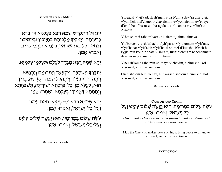**MOURNER'S KADDISH**(Mourners rise)

יִתְגַּדַל וְיִתְקַדַּשׁ שָׁמֶהּ רַבָּא בִּעָלְמָא דִּי-בָרָא כרעוּתֵהּ, וַיַמִלידְ מַלְכוּתֵה בְּחַיֵּיכוֹן וּבִיוֹמֵיכוֹן וּבִחַיֵּי דִכָל בֵּית יִשְׂרָאֵל, בַּעֲגָלָא וּבזְמַן קָרִיב, ואמרו: אמן.

יְהֵא שְׁמֵה רַבָּא מְבָרַךְ לִעֲלַם וּלִעַל*ְמֵי עַ*לְמַיַּא.

יתִבְּרַדְּ וִישְׁתַּבַח, וִיתִכַּאַר וִיתִרוֹמַם וִיתִנַשֶּׂא, וְיִתְהַדָּר וְיִתְעַלֶּה וְיִתְהַלָּל שְׁמֵהּ דְּקֻדְשָׁא, בְּרִיךָ הוּא, לִעֱלֵּא מִן-כַּל-בִּרְכָתָא וְשִׁירַתַא, תְּשִׁבְּחַתַא וְנֶחֶמָתָא דַּאֲמִירָן בְּעָלְמָא, וְאמְרוּּ אָמֵן.

> יִהֵא שִׁלַמָּא רַבָּא מִן-שְׁמַיָּא וִחַיִּּים עָלִינוּ ֿוְעַל-כָּל-ישָׂרָאֵל, וְאמְרוּ: אֲמֵן.

עשֶה שָׁלוּם בַּמְרוֹמָיו, הוּא <u>יעֲ</u>שֶׂה שָׁלוֹם עָלִינוּ ּוְעַל-כָּל-יִשְׂרָאֵל, וְאִמְרוּּ אָמֵן.

Yit'gadal v'yit'kadash sh'mei ra-ba b'alma di-v'ra chir'utei,v'yamlich mal'chutei b'chayeichon uv'yomeichon uv'chayeid'chol beit Yis-ra-eil, ba-agala u'viz'man ka-riv, v'im'ru:A-mein.

Y'hei sh'mei raba m'varakh l'alam ul'almei almaya.

Yit'barach v'yish'tabach, v'yit'pa-ar v'yit'romam v'yit'nasei,v'yit'hadar v'yit'aleh v'yit'halal sh'mei d'kudsha, b'rich hu, l'eila min kol bir'chata v'shirata, tush'b'chata v'nehchehmatada-amiran b'al'ma, v'im'ru: A-mein.

Y'hei sh'lama raba min-sh'maya v'chayim, aleinu v'al kolYisra-eil, v'im'ru: A-mein.

Oseh shalom bim'romav, hu ya-aseh shalom aleinu v'al kolYisra-eil, v'im'ru: A-mein.

(Mourners are seated)

# **CANTOR AND CHOIR** עשֶה שָׁלוּם בּמְרוּמָיו, הוּא יַעֲשֶׂה שָׁלוּם עָלִינוּ וְעַל ְּכַל יִשְׂרָאֵל, וְאמְרוּ: אֲמֵן.

*O-seh sha-lom bee-m'ro-mav, hu ya-a-seh sha-lom a-lei-nu v'alkol Yis-ra-eil, v'eem-ru: A-mein.*

May the One who makes peace on high, bring peace to us and toall Israel, and let us say: Amen.

(Mourners are seated)

**BENEDICTION**